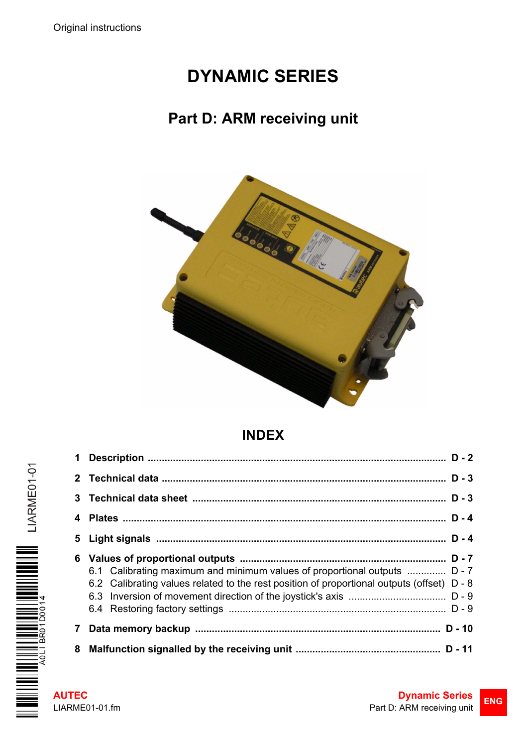# **DYNAMIC SERIES**

# **Part D: ARM receiving unit**



# **INDEX**

|   | 6.1 Calibrating maximum and minimum values of proportional outputs  D - 7<br>6.2 Calibrating values related to the rest position of proportional outputs (offset) D - 8 |  |
|---|-------------------------------------------------------------------------------------------------------------------------------------------------------------------------|--|
| 7 |                                                                                                                                                                         |  |
|   |                                                                                                                                                                         |  |

III LIARME01-01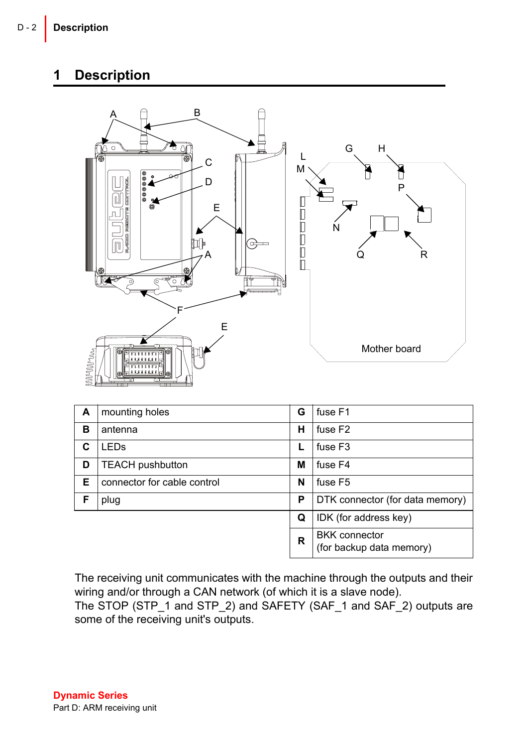### <span id="page-1-0"></span>**1 Description**



| A | mounting holes              | G | fuse F1                                          |
|---|-----------------------------|---|--------------------------------------------------|
| в | antenna                     | н | fuse F <sub>2</sub>                              |
| C | <b>LEDs</b>                 |   | fuse F <sub>3</sub>                              |
| D | <b>TEACH pushbutton</b>     | М | fuse F4                                          |
| Е | connector for cable control | N | fuse F5                                          |
| F | plug                        | Р | DTK connector (for data memory)                  |
|   |                             | Q | IDK (for address key)                            |
|   |                             | R | <b>BKK</b> connector<br>(for backup data memory) |

The receiving unit communicates with the machine through the outputs and their wiring and/or through a CAN network (of which it is a slave node).

The STOP (STP\_1 and STP\_2) and SAFETY (SAF\_1 and SAF\_2) outputs are some of the receiving unit's outputs.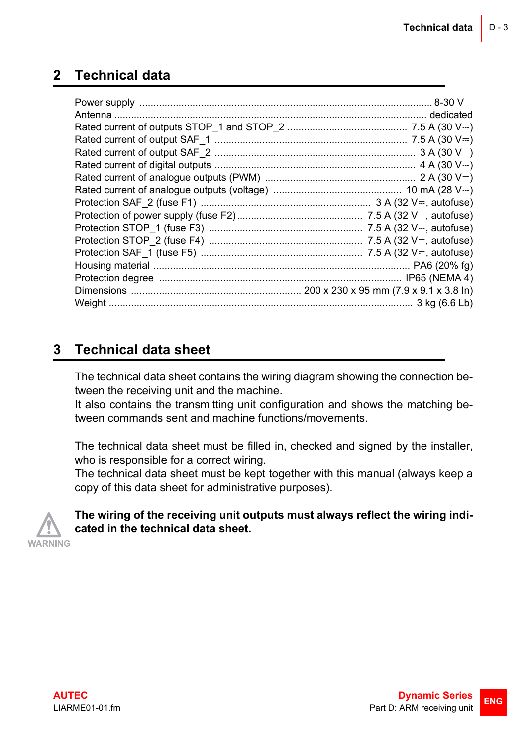# <span id="page-2-0"></span>**2 Technical data**

# <span id="page-2-1"></span>**3 Technical data sheet**

The technical data sheet contains the wiring diagram showing the connection between the receiving unit and the machine.

It also contains the transmitting unit configuration and shows the matching between commands sent and machine functions/movements.

The technical data sheet must be filled in, checked and signed by the installer, who is responsible for a correct wiring.

The technical data sheet must be kept together with this manual (always keep a copy of this data sheet for administrative purposes).



#### **The wiring of the receiving unit outputs must always reflect the wiring indicated in the technical data sheet.**

WARNING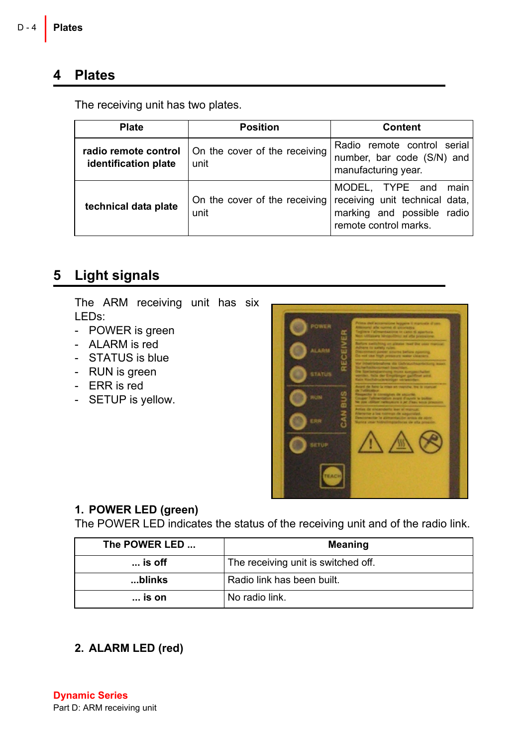### <span id="page-3-0"></span>**4 Plates**

The receiving unit has two plates.

| <b>Plate</b>                                 | <b>Position</b>                       | <b>Content</b>                                                                                                   |
|----------------------------------------------|---------------------------------------|------------------------------------------------------------------------------------------------------------------|
| radio remote control<br>identification plate | On the cover of the receiving<br>unit | Radio remote control serial<br>number, bar code (S/N) and<br>manufacturing year.                                 |
| technical data plate                         | On the cover of the receiving<br>unit | MODEL, TYPE and<br>main<br>receiving unit technical data,<br>marking and possible radio<br>remote control marks. |

# <span id="page-3-1"></span>**5 Light signals**

The ARM receiving unit has six LEDs:

- POWER is green
- ALARM is red
- STATUS is blue
- RUN is green
- ERR is red
- SETUP is yellow.



#### **1. POWER LED (green)**

The POWER LED indicates the status of the receiving unit and of the radio link.

| The POWER LED   | Meaning                             |
|-----------------|-------------------------------------|
| $\ldots$ is off | The receiving unit is switched off. |
| blinks          | Radio link has been built.          |
| $\ldots$ is on  | No radio link.                      |

**2. ALARM LED (red)**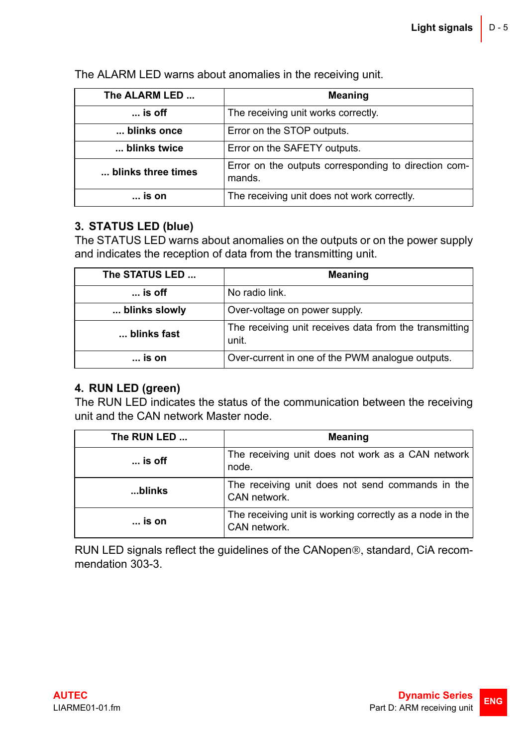| The ALARM LED      | <b>Meaning</b>                                                 |
|--------------------|----------------------------------------------------------------|
| $\ldots$ is off    | The receiving unit works correctly.                            |
| blinks once        | Error on the STOP outputs.                                     |
| blinks twice       | Error on the SAFETY outputs.                                   |
| blinks three times | Error on the outputs corresponding to direction com-<br>mands. |
| is on              | The receiving unit does not work correctly.                    |

The ALARM LED warns about anomalies in the receiving unit.

### **3. STATUS LED (blue)**

The STATUS LED warns about anomalies on the outputs or on the power supply and indicates the reception of data from the transmitting unit.

| The STATUS LED  | Meaning                                                         |
|-----------------|-----------------------------------------------------------------|
| $\ldots$ is off | No radio link.                                                  |
| blinks slowly   | Over-voltage on power supply.                                   |
| blinks fast     | The receiving unit receives data from the transmitting<br>unit. |
| $\ldots$ is on  | Over-current in one of the PWM analogue outputs.                |

#### **4. RUN LED (green)**

The RUN LED indicates the status of the communication between the receiving unit and the CAN network Master node.

| The RUN LED     | <b>Meaning</b>                                                           |
|-----------------|--------------------------------------------------------------------------|
| $\ldots$ is off | The receiving unit does not work as a CAN network<br>node.               |
| blinks          | The receiving unit does not send commands in the<br>CAN network.         |
| is on           | The receiving unit is working correctly as a node in the<br>CAN network. |

RUN LED signals reflect the guidelines of the CANopen®, standard, CiA recommendation 303-3.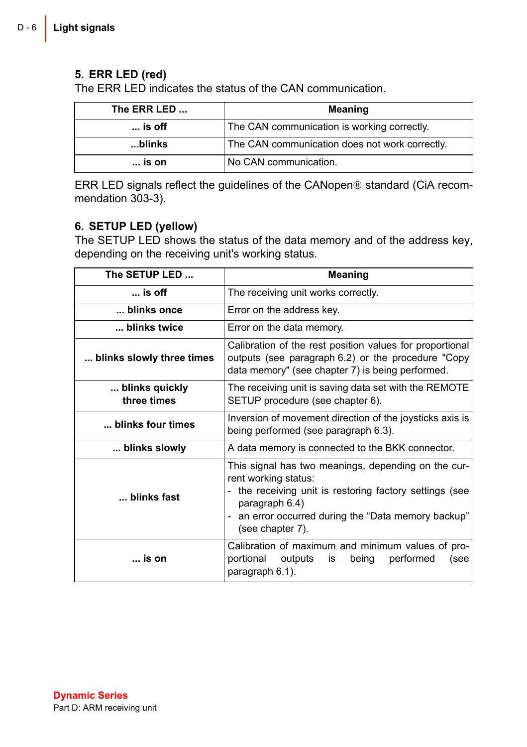### **5. ERR LED (red)**

The ERR LED indicates the status of the CAN communication.

| The ERR LED     | Meaning                                        |
|-----------------|------------------------------------------------|
| $\ldots$ is off | The CAN communication is working correctly.    |
| blinks          | The CAN communication does not work correctly. |
| is on           | No CAN communication.                          |

ERR LED signals reflect the guidelines of the CANopen® standard (CiA recommendation 303-3).

#### **6. SETUP LED (yellow)**

The SETUP LED shows the status of the data memory and of the address key, depending on the receiving unit's working status.

| The SETUP LED                                                                                                                     | Meaning                                                                                                                                                                                                                             |  |
|-----------------------------------------------------------------------------------------------------------------------------------|-------------------------------------------------------------------------------------------------------------------------------------------------------------------------------------------------------------------------------------|--|
| $$ is off                                                                                                                         | The receiving unit works correctly.                                                                                                                                                                                                 |  |
| … blinks once                                                                                                                     | Error on the address key.                                                                                                                                                                                                           |  |
| blinks twice                                                                                                                      | Error on the data memory.                                                                                                                                                                                                           |  |
| blinks slowly three times                                                                                                         | Calibration of the rest position values for proportional<br>outputs (see paragraph 6.2) or the procedure "Copy<br>data memory" (see chapter 7) is being performed.                                                                  |  |
| blinks quickly<br>three times                                                                                                     | The receiving unit is saving data set with the REMOTE<br>SETUP procedure (see chapter 6).                                                                                                                                           |  |
| blinks four times                                                                                                                 | Inversion of movement direction of the joysticks axis is<br>being performed (see paragraph 6.3).                                                                                                                                    |  |
| blinks slowly                                                                                                                     | A data memory is connected to the BKK connector.                                                                                                                                                                                    |  |
| blinks fast                                                                                                                       | This signal has two meanings, depending on the cur-<br>rent working status:<br>- the receiving unit is restoring factory settings (see<br>paragraph 6.4)<br>- an error occurred during the "Data memory backup"<br>(see chapter 7). |  |
| Calibration of maximum and minimum values of pro-<br>is on<br>portional<br>outputs<br>performed<br>being<br>is<br>paragraph 6.1). |                                                                                                                                                                                                                                     |  |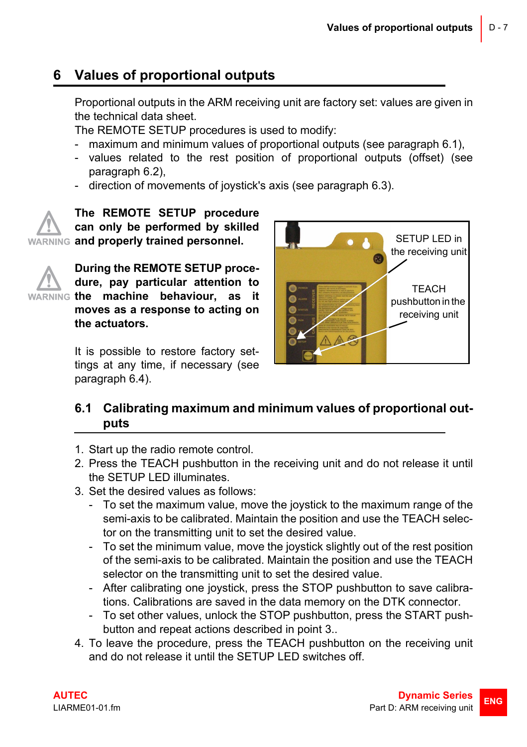# <span id="page-6-0"></span>**6 Values of proportional outputs**

Proportional outputs in the ARM receiving unit are factory set: values are given in the technical data sheet.

The REMOTE SETUP procedures is used to modify:

- maximum and minimum values of proportional outputs (see paragraph [6.1](#page-6-1)),
- values related to the rest position of proportional outputs (offset) (see paragraph [6.2\)](#page-7-0),
- direction of movements of joystick's axis (see paragraph [6.3\)](#page-8-0).

**The REMOTE SETUP procedure can only be performed by skilled WARNING and properly trained personnel.** 



**During the REMOTE SETUP procedure, pay particular attention to WARNING the machine behaviour, as it moves as a response to acting on the actuators.**

> It is possible to restore factory settings at any time, if necessary (see paragraph [6.4\)](#page-8-1).



### <span id="page-6-1"></span>**6.1 Calibrating maximum and minimum values of proportional outputs**

- 1. Start up the radio remote control.
- 2. Press the TEACH pushbutton in the receiving unit and do not release it until the SETUP LED illuminates.
- 3. Set the desired values as follows:
	- To set the maximum value, move the joystick to the maximum range of the semi-axis to be calibrated. Maintain the position and use the TEACH selector on the transmitting unit to set the desired value.
	- To set the minimum value, move the joystick slightly out of the rest position of the semi-axis to be calibrated. Maintain the position and use the TEACH selector on the transmitting unit to set the desired value.
	- After calibrating one joystick, press the STOP pushbutton to save calibrations. Calibrations are saved in the data memory on the DTK connector.
	- To set other values, unlock the STOP pushbutton, press the START pushbutton and repeat actions described in point 3..
- 4. To leave the procedure, press the TEACH pushbutton on the receiving unit and do not release it until the SETUP LED switches off.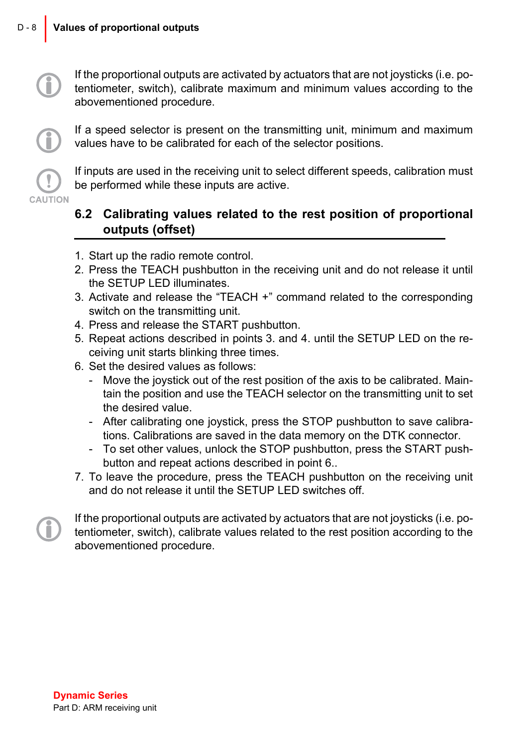If the proportional outputs are activated by actuators that are not joysticks (i.e. potentiometer, switch), calibrate maximum and minimum values according to the abovementioned procedure.

If a speed selector is present on the transmitting unit, minimum and maximum values have to be calibrated for each of the selector positions.

If inputs are used in the receiving unit to select different speeds, calibration must be performed while these inputs are active.

### <span id="page-7-0"></span>**6.2 Calibrating values related to the rest position of proportional outputs (offset)**

- 1. Start up the radio remote control.
- 2. Press the TEACH pushbutton in the receiving unit and do not release it until the SETUP LED illuminates.
- 3. Activate and release the "TEACH +" command related to the corresponding switch on the transmitting unit.
- 4. Press and release the START pushbutton.
- 5. Repeat actions described in points 3. and 4. until the SETUP LED on the receiving unit starts blinking three times.
- 6. Set the desired values as follows:
	- Move the joystick out of the rest position of the axis to be calibrated. Maintain the position and use the TEACH selector on the transmitting unit to set the desired value.
	- After calibrating one joystick, press the STOP pushbutton to save calibrations. Calibrations are saved in the data memory on the DTK connector.
	- To set other values, unlock the STOP pushbutton, press the START pushbutton and repeat actions described in point 6..
- 7. To leave the procedure, press the TEACH pushbutton on the receiving unit and do not release it until the SETUP LED switches off.

CAUTION

If the proportional outputs are activated by actuators that are not joysticks (i.e. potentiometer, switch), calibrate values related to the rest position according to the abovementioned procedure.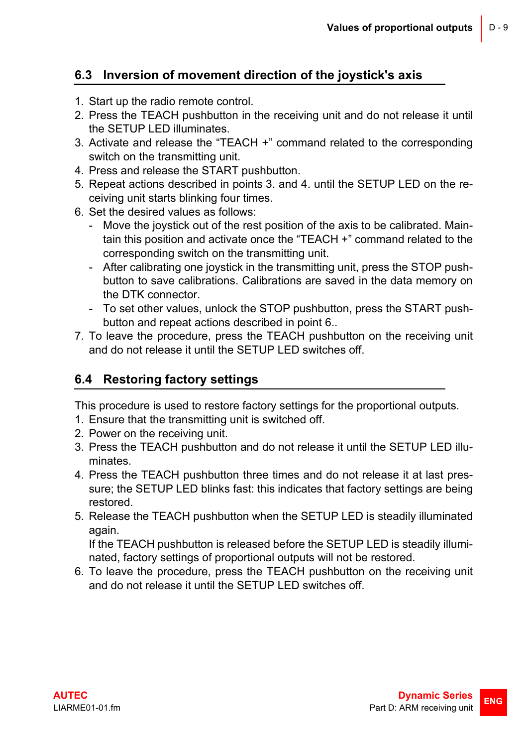### <span id="page-8-0"></span>**6.3 Inversion of movement direction of the joystick's axis**

- 1. Start up the radio remote control.
- 2. Press the TEACH pushbutton in the receiving unit and do not release it until the SETUP LED illuminates.
- 3. Activate and release the "TEACH +" command related to the corresponding switch on the transmitting unit.
- 4. Press and release the START pushbutton.
- 5. Repeat actions described in points 3. and 4. until the SETUP LED on the receiving unit starts blinking four times.
- 6. Set the desired values as follows:
	- Move the joystick out of the rest position of the axis to be calibrated. Maintain this position and activate once the "TEACH +" command related to the corresponding switch on the transmitting unit.
	- After calibrating one joystick in the transmitting unit, press the STOP pushbutton to save calibrations. Calibrations are saved in the data memory on the DTK connector.
	- To set other values, unlock the STOP pushbutton, press the START pushbutton and repeat actions described in point 6..
- 7. To leave the procedure, press the TEACH pushbutton on the receiving unit and do not release it until the SETUP LED switches off.

### <span id="page-8-1"></span>**6.4 Restoring factory settings**

This procedure is used to restore factory settings for the proportional outputs.

- 1. Ensure that the transmitting unit is switched off.
- 2. Power on the receiving unit.
- 3. Press the TEACH pushbutton and do not release it until the SETUP LED illuminates.
- 4. Press the TEACH pushbutton three times and do not release it at last pressure; the SETUP LED blinks fast: this indicates that factory settings are being restored.
- 5. Release the TEACH pushbutton when the SETUP LED is steadily illuminated again.

If the TEACH pushbutton is released before the SETUP LED is steadily illuminated, factory settings of proportional outputs will not be restored.

6. To leave the procedure, press the TEACH pushbutton on the receiving unit and do not release it until the SETUP LED switches off.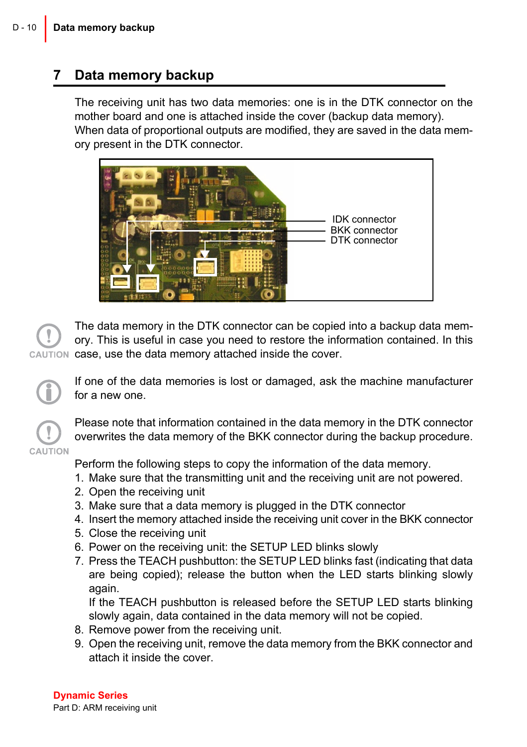### <span id="page-9-0"></span>**7 Data memory backup**

The receiving unit has two data memories: one is in the DTK connector on the mother board and one is attached inside the cover (backup data memory). When data of proportional outputs are modified, they are saved in the data memory present in the DTK connector.



The data memory in the DTK connector can be copied into a backup data memory. This is useful in case you need to restore the information contained. In this AUTION case, use the data memory attached inside the cover.

If one of the data memories is lost or damaged, ask the machine manufacturer for a new one.

Please note that information contained in the data memory in the DTK connector overwrites the data memory of the BKK connector during the backup procedure.

CALITION Perform the following steps to copy the information of the data memory.

- 1. Make sure that the transmitting unit and the receiving unit are not powered.
- 2. Open the receiving unit
- 3. Make sure that a data memory is plugged in the DTK connector
- 4. Insert the memory attached inside the receiving unit cover in the BKK connector
- 5. Close the receiving unit
- 6. Power on the receiving unit: the SETUP LED blinks slowly
- 7. Press the TEACH pushbutton: the SETUP LED blinks fast (indicating that data are being copied); release the button when the LED starts blinking slowly again.

If the TEACH pushbutton is released before the SETUP LED starts blinking slowly again, data contained in the data memory will not be copied.

- 8. Remove power from the receiving unit.
- 9. Open the receiving unit, remove the data memory from the BKK connector and attach it inside the cover.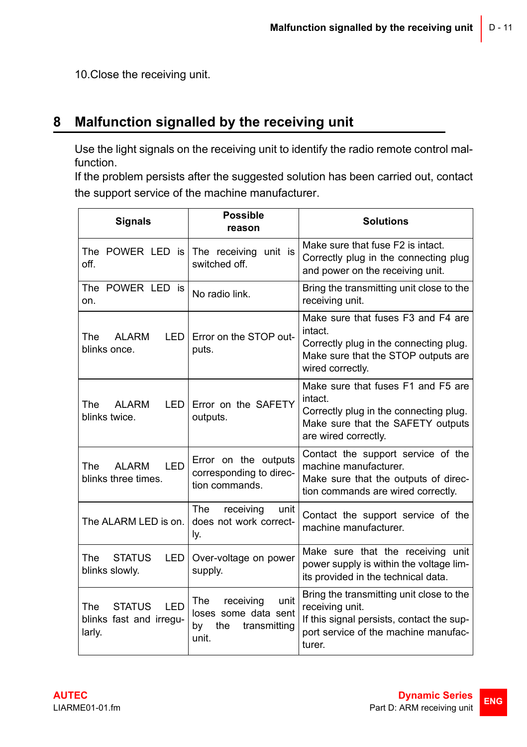10.Close the receiving unit.

# <span id="page-10-0"></span>**8 Malfunction signalled by the receiving unit**

Use the light signals on the receiving unit to identify the radio remote control malfunction.

If the problem persists after the suggested solution has been carried out, contact the support service of the machine manufacturer.

| <b>Signals</b>                                                          | <b>Possible</b><br>reason                                                              | <b>Solutions</b>                                                                                                                                           |
|-------------------------------------------------------------------------|----------------------------------------------------------------------------------------|------------------------------------------------------------------------------------------------------------------------------------------------------------|
| The POWER LED is I<br>off.                                              | The receiving unit is<br>switched off.                                                 | Make sure that fuse F2 is intact.<br>Correctly plug in the connecting plug<br>and power on the receiving unit.                                             |
| The POWER LED is<br>on.                                                 | No radio link.                                                                         | Bring the transmitting unit close to the<br>receiving unit.                                                                                                |
| The ALARM<br>LED I<br>blinks once.                                      | Error on the STOP out-<br>puts.                                                        | Make sure that fuses F3 and F4 are<br>intact.<br>Correctly plug in the connecting plug.<br>Make sure that the STOP outputs are<br>wired correctly.         |
| AI ARM<br><b>LED</b><br>The<br>blinks twice.                            | Error on the SAFETY<br>outputs.                                                        | Make sure that fuses F1 and F5 are<br>intact.<br>Correctly plug in the connecting plug.<br>Make sure that the SAFETY outputs<br>are wired correctly.       |
| <b>ALARM</b><br><b>LED</b><br>The<br>blinks three times.                | Error on the outputs<br>corresponding to direc-<br>tion commands.                      | Contact the support service of the<br>machine manufacturer.<br>Make sure that the outputs of direc-<br>tion commands are wired correctly.                  |
| The ALARM LED is on.                                                    | <b>The</b><br>receiving<br>unit<br>does not work correct-<br>ly.                       | Contact the support service of the<br>machine manufacturer.                                                                                                |
| The<br><b>STATUS</b><br>LED I<br>blinks slowly.                         | Over-voltage on power<br>supply.                                                       | Make sure that the receiving unit<br>power supply is within the voltage lim-<br>its provided in the technical data.                                        |
| <b>LED</b><br><b>STATUS</b><br>The<br>blinks fast and irregu-<br>larly. | receiving<br>unit<br>The<br>loses some data sent<br>the<br>bv<br>transmitting<br>unit. | Bring the transmitting unit close to the<br>receiving unit.<br>If this signal persists, contact the sup-<br>port service of the machine manufac-<br>turer. |